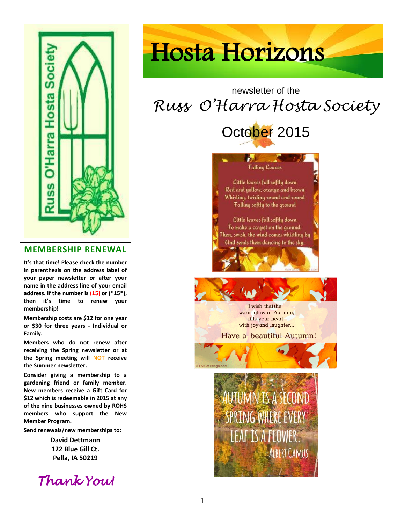

#### **MEMBERSHIP RENEWAL**

**It's that time! Please check the number in parenthesis on the address label of your paper newsletter or after your name in the address line of your email address. If the number is (15) or (\*15\*), then it's time to renew your membership!**

**Membership costs are \$12 for one year or \$30 for three years - Individual or Family.**

**Members who do not renew after receiving the Spring newsletter or at the Spring meeting will NOT receive the Summer newsletter.**

**Consider giving a membership to a gardening friend or family member. New members receive a Gift Card for \$12 which is redeemable in 2015 at any of the nine businesses owned by ROHS members who support the New Member Program.**

**Send renewals/new memberships to:**

**David Dettmann 122 Blue Gill Ct. Pella, IA 50219**

*Thank You!* 

# Hosta Horizons

# newsletter of the *Russ O'Harra Hosta Society*



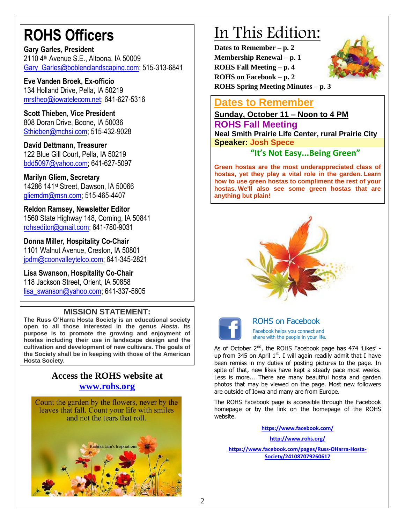# **ROHS Officers**

**Gary Garles, President** 2110 4th Avenue S.E., Altoona, IA 50009 Gary Garles@boblenclandscaping.com: 515-313-6841

**Eve Vanden Broek, Ex-officio** 134 Holland Drive, Pella, IA 50219 [mrstheo@iowatelecom.net;](mailto:mrstheo@iowatelecom.net) 641-627-5316

**Scott Thieben, Vice President** 808 Doran Drive, Boone, IA 50036 [Sthieben@mchsi.com;](mailto:Sthieben@mchsi.com) 515-432-9028

**David Dettmann, Treasurer** 122 Blue Gill Court, Pella, IA 50219 [bdd5097@yahoo.com;](mailto:bdd5097@yahoo.com) 641-627-5097

**Marilyn Gliem, Secretary** 14286 141st Street, Dawson, IA 50066 [gliemdm@msn.com;](mailto:gliemdm@msn.com) 515-465-4407

**Reldon Ramsey, Newsletter Editor** 1560 State Highway 148, Corning, IA 50841 [rohseditor@gmail.com;](mailto:rohseditor@gmail.com) 641-780-9031

**Donna Miller, Hospitality Co-Chair** 1101 Walnut Avenue, Creston, IA 50801 [jpdm@coonvalleytelco.com;](mailto:lisa_swanson@yahoo.com) 641-345-2821

**Lisa Swanson, Hospitality Co-Chair** 118 Jackson Street, Orient, IA 50858 [lisa\\_swanson@yahoo.com;](mailto:lisa_swanson@yahoo.com) 641-337-5605

## **MISSION STATEMENT:**

**The Russ O'Harra Hosta Society is an educational society open to all those interested in the genus** *Hosta***. Its purpose is to promote the growing and enjoyment of hostas including their use in landscape design and the cultivation and development of new cultivars. The goals of the Society shall be in keeping with those of the American Hosta Society.** 

## **Access the ROHS website at [www.rohs.org](http://www.rohs.org/)**



# In This Edition:

**Dates to Remember – p. 2 Membership Renewal – p. 1 ROHS Fall Meeting – p. 4 ROHS on Facebook – p. 2 ROHS Spring Meeting Minutes – p. [3](http://www.123rf.com/photo_9421582_beautiful-crocus-isolated-on-white-eps-8.html)**



# **Dates to Remember**

**Sunday, October 11 – Noon to 4 PM**

## **ROHS Fall Meeting**

**Neal Smith Prairie Life Center, rural Prairie City Speaker: Josh Spece**

# **"It's Not Easy...Being Green"**

**Green hostas are the most underappreciated class of hostas, yet they play a vital role in the garden. Learn how to use green hostas to compliment the rest of your hostas. We'll also see some green hostas that are anything but plain!** 





#### ROHS on Facebook Facebook helps you connect and share with the people in your life.

As of October 2<sup>nd</sup>, the ROHS Facebook page has 474 'Likes' up from 345 on April  $1<sup>st</sup>$ . I will again readily admit that I have been remiss in my duties of posting pictures to the page. In spite of that, new likes have kept a steady pace most weeks. Less is more... There are many beautiful hosta and garden photos that may be viewed on the page. Most new followers are outside of Iowa and many are from Europe.

The ROHS Facebook page is accessible through the Facebook homepage or by the link on the homepage of the ROHS website.

**<https://www.facebook.com/>**

**<http://www.rohs.org/> [https://www.facebook.com/pages/Russ-OHarra-Hosta-](https://www.facebook.com/pages/Russ-OHarra-Hosta-Society/241087079260617)[Society/241087079260617](https://www.facebook.com/pages/Russ-OHarra-Hosta-Society/241087079260617)**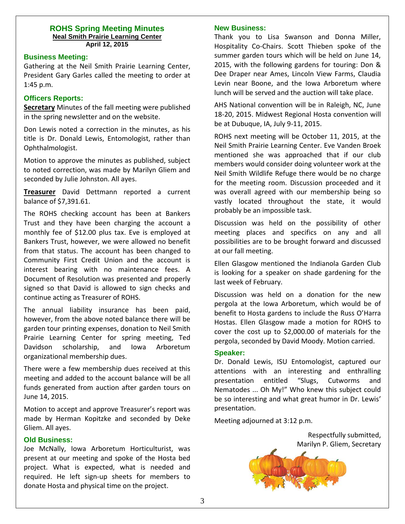#### **ROHS Spring Meeting Minutes Neal Smith Prairie Learning Center April 12, 2015**

#### **Business Meeting:**

Gathering at the Neil Smith Prairie Learning Center, President Gary Garles called the meeting to order at 1:45 p.m.

#### **Officers Reports:**

**Secretary** Minutes of the fall meeting were published in the spring newsletter and on the website.

Don Lewis noted a correction in the minutes, as his title is Dr. Donald Lewis, Entomologist, rather than Ophthalmologist.

Motion to approve the minutes as published, subject to noted correction, was made by Marilyn Gliem and seconded by Julie Johnston. All ayes.

**Treasurer** David Dettmann reported a current balance of \$7,391.61.

The ROHS checking account has been at Bankers Trust and they have been charging the account a monthly fee of \$12.00 plus tax. Eve is employed at Bankers Trust, however, we were allowed no benefit from that status. The account has been changed to Community First Credit Union and the account is interest bearing with no maintenance fees. A Document of Resolution was presented and properly signed so that David is allowed to sign checks and continue acting as Treasurer of ROHS.

The annual liability insurance has been paid, however, from the above noted balance there will be garden tour printing expenses, donation to Neil Smith Prairie Learning Center for spring meeting, Ted Davidson scholarship, and Iowa Arboretum organizational membership dues.

There were a few membership dues received at this meeting and added to the account balance will be all funds generated from auction after garden tours on June 14, 2015.

Motion to accept and approve Treasurer's report was made by Herman Kopitzke and seconded by Deke Gliem. All ayes.

#### **Old Business:**

Joe McNally, Iowa Arboretum Horticulturist, was present at our meeting and spoke of the Hosta bed project. What is expected, what is needed and required. He left sign-up sheets for members to donate Hosta and physical time on the project.

#### **New Business:**

Thank you to Lisa Swanson and Donna Miller, Hospitality Co-Chairs. Scott Thieben spoke of the summer garden tours which will be held on June 14, 2015, with the following gardens for touring: Don & Dee Draper near Ames, Lincoln View Farms, Claudia Levin near Boone, and the Iowa Arboretum where lunch will be served and the auction will take place.

AHS National convention will be in Raleigh, NC, June 18-20, 2015. Midwest Regional Hosta convention will be at Dubuque, IA, July 9-11, 2015.

ROHS next meeting will be October 11, 2015, at the Neil Smith Prairie Learning Center. Eve Vanden Broek mentioned she was approached that if our club members would consider doing volunteer work at the Neil Smith Wildlife Refuge there would be no charge for the meeting room. Discussion proceeded and it was overall agreed with our membership being so vastly located throughout the state, it would probably be an impossible task.

Discussion was held on the possibility of other meeting places and specifics on any and all possibilities are to be brought forward and discussed at our fall meeting.

Ellen Glasgow mentioned the Indianola Garden Club is looking for a speaker on shade gardening for the last week of February.

Discussion was held on a donation for the new pergola at the Iowa Arboretum, which would be of benefit to Hosta gardens to include the Russ O'Harra Hostas. Ellen Glasgow made a motion for ROHS to cover the cost up to \$2,000.00 of materials for the pergola, seconded by David Moody. Motion carried.

#### **Speaker:**

Dr. Donald Lewis, ISU Entomologist, captured our attentions with an interesting and enthralling presentation entitled "Slugs, Cutworms and Nematodes ... Oh My!" Who knew this subject could be so interesting and what great humor in Dr. Lewis' presentation.

Meeting adjourned at 3:12 p.m.